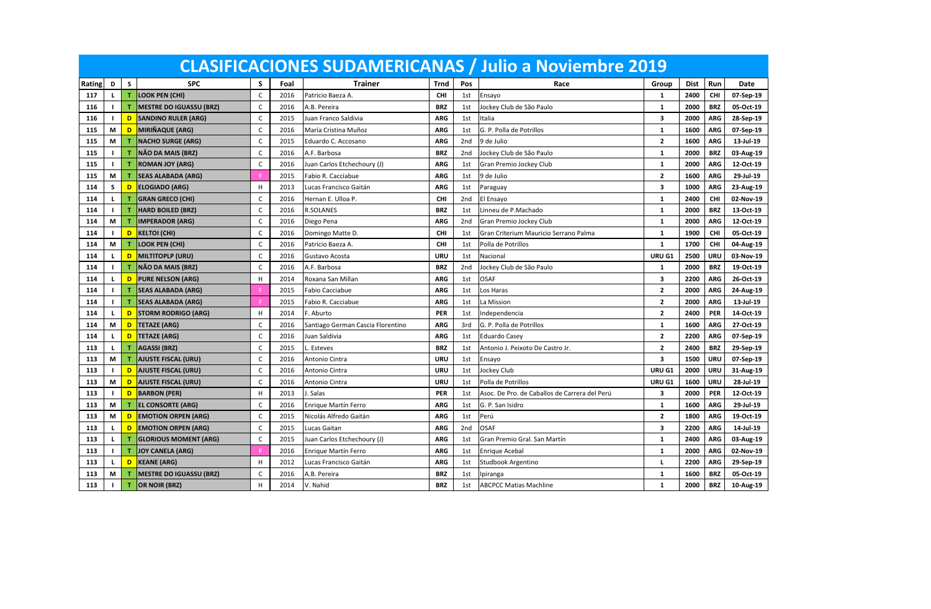|        |              |   |                                |              |      |                                   |            |     | <b>CLASIFICACIONES SUDAMERICANAS / Julio a Noviembre 2019</b> |                         |             |            |           |
|--------|--------------|---|--------------------------------|--------------|------|-----------------------------------|------------|-----|---------------------------------------------------------------|-------------------------|-------------|------------|-----------|
| Rating | D            | S | <b>SPC</b>                     | S.           | Foal | Trainer                           | Trnd       | Pos | Race                                                          | Group                   | <b>Dist</b> | Run        | Date      |
| 117    | L            | т | <b>LOOK PEN (CHI)</b>          | $\mathsf{C}$ | 2016 | Patricio Baeza A.                 | <b>CHI</b> | 1st | Ensayo                                                        | $\mathbf{1}$            | 2400        | CHI        | 07-Sep-19 |
| 116    | п            | т | <b>MESTRE DO IGUASSU (BRZ)</b> | $\mathsf{C}$ | 2016 | A.B. Pereira                      | <b>BRZ</b> | 1st | Jockey Club de São Paulo                                      | $\mathbf{1}$            | 2000        | <b>BRZ</b> | 05-Oct-19 |
| 116    |              | D | <b>SANDINO RULER (ARG)</b>     | C            | 2015 | Juan Franco Saldivia              | <b>ARG</b> | 1st | Italia                                                        | 3                       | 2000        | ARG        | 28-Sep-19 |
| 115    | M            | D | MIRIÑAQUE (ARG)                | C            | 2016 | María Cristina Muñoz              | <b>ARG</b> | 1st | G. P. Polla de Potrillos                                      | $\mathbf{1}$            | 1600        | <b>ARG</b> | 07-Sep-19 |
| 115    | M            | т | <b>NACHO SURGE (ARG)</b>       | C            | 2015 | Eduardo C. Accosano               | <b>ARG</b> | 2nd | 9 de Julio                                                    | $\overline{2}$          | 1600        | <b>ARG</b> | 13-Jul-19 |
| 115    | Т.           | т | NÃO DA MAIS (BRZ)              | $\mathsf{C}$ | 2016 | A.F. Barbosa                      | <b>BRZ</b> | 2nd | Jockey Club de São Paulo                                      | $\mathbf{1}$            | 2000        | <b>BRZ</b> | 03-Aug-19 |
| 115    | Т.           | т | <b>ROMAN JOY (ARG)</b>         | C            | 2016 | Juan Carlos Etchechoury (J)       | <b>ARG</b> | 1st | Gran Premio Jockey Club                                       | $\mathbf{1}$            | 2000        | <b>ARG</b> | 12-Oct-19 |
| 115    | М            | т | <b>SEAS ALABADA (ARG)</b>      |              | 2015 | Fabio R. Cacciabue                | <b>ARG</b> | 1st | 9 de Julio                                                    | $\overline{\mathbf{2}}$ | 1600        | <b>ARG</b> | 29-Jul-19 |
| 114    | S            | D | <b>ELOGIADO (ARG)</b>          | H            | 2013 | Lucas Francisco Gaitán            | <b>ARG</b> | 1st | Paraguay                                                      | 3                       | 1000        | <b>ARG</b> | 23-Aug-19 |
| 114    | L            | т | <b>GRAN GRECO (CHI)</b>        | C            | 2016 | Hernan E. Ulloa P.                | CHI        | 2nd | El Ensayo                                                     | $\mathbf{1}$            | 2400        | <b>CHI</b> | 02-Nov-19 |
| 114    |              | т | <b>HARD BOILED (BRZ)</b>       | C            | 2016 | <b>R.SOLANES</b>                  | <b>BRZ</b> | 1st | Linneu de P.Machado                                           | $\mathbf{1}$            | 2000        | <b>BRZ</b> | 13-Oct-19 |
| 114    | М            | T | <b>IMPERADOR (ARG)</b>         | C            | 2016 | Diego Pena                        | <b>ARG</b> | 2nd | Gran Premio Jockey Club                                       | $\mathbf{1}$            | 2000        | <b>ARG</b> | 12-Oct-19 |
| 114    |              | D | <b>KELTOI (CHI)</b>            | C            | 2016 | Domingo Matte D.                  | CHI        | 1st | Gran Criterium Mauricio Serrano Palma                         | $\mathbf{1}$            | 1900        | CHI        | 05-Oct-19 |
| 114    | М            | т | <b>LOOK PEN (CHI)</b>          | C            | 2016 | Patricio Baeza A                  | CHI        | 1st | Polla de Potrillos                                            | $\mathbf{1}$            | 1700        | <b>CHI</b> | 04-Aug-19 |
| 114    |              | D | MILTITOPLP (URU)               | C            | 2016 | Gustavo Acosta                    | URU        | 1st | Nacional                                                      | URU G1                  | 2500        | URU        | 03-Nov-19 |
| 114    | $\mathbf{I}$ | т | NÃO DA MAIS (BRZ)              | $\mathsf{C}$ | 2016 | A.F. Barbosa                      | <b>BRZ</b> | 2nd | Jockey Club de São Paulo                                      | $\mathbf{1}$            | 2000        | <b>BRZ</b> | 19-Oct-19 |
| 114    | L.           | D | <b>PURE NELSON (ARG)</b>       | H            | 2014 | Roxana San Millan                 | <b>ARG</b> | 1st | <b>OSAF</b>                                                   | 3                       | 2200        | <b>ARG</b> | 26-Oct-19 |
| 114    | I.           | т | <b>SEAS ALABADA (ARG)</b>      |              | 2015 | <b>Fabio Cacciabue</b>            | <b>ARG</b> | 1st | Los Haras                                                     | $\mathbf{2}$            | 2000        | ARG        | 24-Aug-19 |
| 114    | Т.           | т | <b>SEAS ALABADA (ARG)</b>      |              | 2015 | Fabio R. Cacciabue                | <b>ARG</b> | 1st | La Mission                                                    | $\overline{2}$          | 2000        | <b>ARG</b> | 13-Jul-19 |
| 114    | L            | D | <b>STORM RODRIGO (ARG)</b>     | H            | 2014 | F. Aburto                         | <b>PER</b> | 1st | Independencia                                                 | $\overline{2}$          | 2400        | <b>PER</b> | 14-Oct-19 |
| 114    | M            | D | <b>TETAZE (ARG)</b>            | $\mathsf{C}$ | 2016 | Santiago German Cascia Florentino | <b>ARG</b> | 3rd | G. P. Polla de Potrillos                                      | $\mathbf{1}$            | 1600        | <b>ARG</b> | 27-Oct-19 |
| 114    | L            | D | <b>TETAZE (ARG)</b>            | $\mathsf{C}$ | 2016 | Juan Saldivia                     | <b>ARG</b> | 1st | <b>Eduardo Casev</b>                                          | $\mathbf{2}$            | 2200        | <b>ARG</b> | 07-Sep-19 |
| 113    | L.           |   | <b>AGASSI (BRZ)</b>            | C            | 2015 | Esteves                           | <b>BRZ</b> | 1st | Antonio J. Peixoto De Castro Jr.                              | $\overline{2}$          | 2400        | <b>BRZ</b> | 29-Sep-19 |
| 113    | М            |   | <b>AJUSTE FISCAL (URU)</b>     | C            | 2016 | Antonio Cintra                    | URU        | 1st | Ensayo                                                        | 3                       | 1500        | URU        | 07-Sep-19 |
| 113    |              | D | <b>AJUSTE FISCAL (URU)</b>     | C            | 2016 | Antonio Cintra                    | <b>URU</b> | 1st | lockey Club                                                   | URU G1                  | 2000        | URU        | 31-Aug-19 |
| 113    | М            | D | <b>AJUSTE FISCAL (URU)</b>     | C            | 2016 | Antonio Cintra                    | <b>URU</b> | 1st | Polla de Potrillos                                            | URU G1                  | 1600        | URU        | 28-Jul-19 |
| 113    |              | D | <b>BARBON</b> (PER)            | H            | 2013 | J. Salas                          | <b>PER</b> | 1st | Asoc. De Pro. de Caballos de Carrera del Perú                 | 3                       | 2000        | <b>PER</b> | 12-Oct-19 |
| 113    | М            | т | <b>EL CONSORTE (ARG)</b>       | C            | 2016 | Enrique Martín Ferro              | <b>ARG</b> | 1st | G. P. San Isidro                                              | $\mathbf{1}$            | 1600        | <b>ARG</b> | 29-Jul-19 |
| 113    | М            | D | <b>EMOTION ORPEN (ARG)</b>     | C            | 2015 | Nicolás Alfredo Gaitán            | <b>ARG</b> | 1st | Perú                                                          | $\overline{2}$          | 1800        | <b>ARG</b> | 19-Oct-19 |
| 113    | L.           | D | <b>EMOTION ORPEN (ARG)</b>     | C            | 2015 | Lucas Gaitan                      | <b>ARG</b> | 2nd | <b>OSAF</b>                                                   | 3                       | 2200        | <b>ARG</b> | 14-Jul-19 |
| 113    | L            | т | <b>GLORIOUS MOMENT (ARG)</b>   | C            | 2015 | Juan Carlos Etchechoury (J)       | <b>ARG</b> | 1st | Gran Premio Gral. San Martín                                  | $\mathbf{1}$            | 2400        | ARG        | 03-Aug-19 |
| 113    | I.           | т | <b>JOY CANELA (ARG)</b>        |              | 2016 | Enrique Martín Ferro              | <b>ARG</b> | 1st | <b>Enrique Acebal</b>                                         | $\mathbf{1}$            | 2000        | <b>ARG</b> | 02-Nov-19 |
| 113    |              | D | <b>KEANE (ARG)</b>             | H            | 2012 | Lucas Francisco Gaitán            | <b>ARG</b> | 1st | Studbook Argentino                                            | L                       | 2200        | <b>ARG</b> | 29-Sep-19 |
| 113    | М            | т | <b>MESTRE DO IGUASSU (BRZ)</b> | C            | 2016 | A.B. Pereira                      | <b>BRZ</b> | 1st | Ipiranga                                                      | 1                       | 1600        | <b>BRZ</b> | 05-Oct-19 |
| 113    |              | т | OR NOIR (BRZ)                  | H            | 2014 | V. Nahid                          | <b>BRZ</b> | 1st | <b>ABCPCC Matias Machline</b>                                 | $\mathbf{1}$            | 2000        | <b>BRZ</b> | 10-Aug-19 |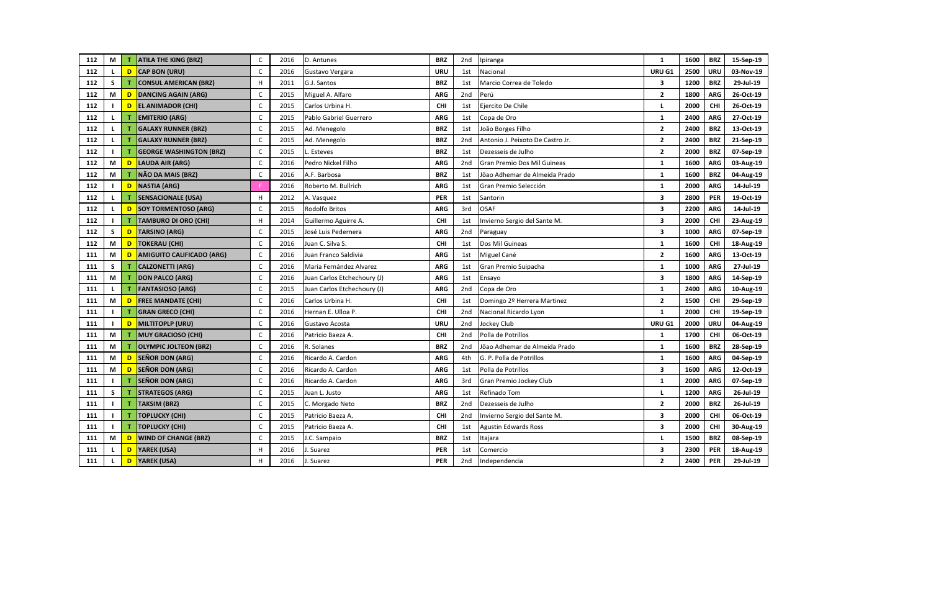| 112 | М            |   | <b>ATILA THE KING (BRZ)</b>      | C            | 2016 | D. Antunes                  | <b>BRZ</b> | 2nd | Ipiranga                         | $\mathbf{1}$            | 1600 | <b>BRZ</b> | 15-Sep-19 |
|-----|--------------|---|----------------------------------|--------------|------|-----------------------------|------------|-----|----------------------------------|-------------------------|------|------------|-----------|
| 112 |              | D | <b>CAP BON (URU)</b>             | C            | 2016 | Gustavo Vergara             | <b>URU</b> | 1st | Nacional                         | URU G1                  | 2500 | URU        | 03-Nov-19 |
| 112 | s            |   | <b>CONSUL AMERICAN (BRZ)</b>     | H            | 2011 | G.J. Santos                 | <b>BRZ</b> | 1st | Marcio Correa de Toledo          | 3                       | 1200 | <b>BRZ</b> | 29-Jul-19 |
| 112 | М            | D | <b>DANCING AGAIN (ARG)</b>       | $\mathsf{C}$ | 2015 | Miguel A. Alfaro            | <b>ARG</b> | 2nd | Perú                             | $\mathbf{2}$            | 1800 | <b>ARG</b> | 26-Oct-19 |
| 112 |              | D | <b>EL ANIMADOR (CHI)</b>         | C            | 2015 | Carlos Urbina H.            | <b>CHI</b> | 1st | Ejercito De Chile                | L                       | 2000 | <b>CHI</b> | 26-Oct-19 |
| 112 | L            | т | <b>EMITERIO (ARG)</b>            | C            | 2015 | Pablo Gabriel Guerrero      | <b>ARG</b> | 1st | Copa de Oro                      | $\mathbf{1}$            | 2400 | <b>ARG</b> | 27-Oct-19 |
| 112 | L.           |   | <b>GALAXY RUNNER (BRZ)</b>       | C            | 2015 | Ad. Menegolo                | <b>BRZ</b> | 1st | João Borges Filho                | $\mathbf{2}$            | 2400 | <b>BRZ</b> | 13-Oct-19 |
| 112 | L            | т | <b>GALAXY RUNNER (BRZ)</b>       | C            | 2015 | Ad. Menegolo                | <b>BRZ</b> | 2nd | Antonio J. Peixoto De Castro Jr. | $\overline{2}$          | 2400 | <b>BRZ</b> | 21-Sep-19 |
| 112 |              |   | <b>GEORGE WASHINGTON (BRZ)</b>   | C            | 2015 | Esteves                     | <b>BRZ</b> | 1st | Dezesseis de Julho               | $\overline{2}$          | 2000 | <b>BRZ</b> | 07-Sep-19 |
| 112 | М            | D | <b>LAUDA AIR (ARG)</b>           | $\mathsf C$  | 2016 | Pedro Nickel Filho          | <b>ARG</b> | 2nd | Gran Premio Dos Mil Guineas      | $\mathbf{1}$            | 1600 | <b>ARG</b> | 03-Aug-19 |
| 112 | М            | т | NÃO DA MAIS (BRZ)                | $\mathsf C$  | 2016 | A.F. Barbosa                | <b>BRZ</b> | 1st | Jõao Adhemar de Almeida Prado    | $\mathbf{1}$            | 1600 | <b>BRZ</b> | 04-Aug-19 |
| 112 |              | D | <b>NASTIA (ARG)</b>              |              | 2016 | Roberto M. Bullrich         | <b>ARG</b> | 1st | Gran Premio Selección            | 1                       | 2000 | <b>ARG</b> | 14-Jul-19 |
| 112 | L            | т | <b>SENSACIONALE (USA)</b>        | H            | 2012 | A. Vasquez                  | <b>PER</b> | 1st | Santorin                         | $\overline{\mathbf{3}}$ | 2800 | PER        | 19-Oct-19 |
| 112 |              | D | <b>SOY TORMENTOSO (ARG)</b>      | C            | 2015 | Rodolfo Britos              | <b>ARG</b> | 3rd | <b>OSAF</b>                      | 3                       | 2200 | <b>ARG</b> | 14-Jul-19 |
| 112 |              |   | <b>TAMBURO DI ORO (CHI)</b>      | H            | 2014 | Guillermo Aguirre A.        | CHI        | 1st | Invierno Sergio del Sante M.     | 3                       | 2000 | <b>CHI</b> | 23-Aug-19 |
| 112 | S            | D | <b>TARSINO (ARG)</b>             | C            | 2015 | José Luis Pedernera         | <b>ARG</b> | 2nd | Paraguay                         | 3                       | 1000 | <b>ARG</b> | 07-Sep-19 |
| 112 | М            | D | <b>TOKERAU (CHI)</b>             | $\mathsf C$  | 2016 | Juan C. Silva S.            | <b>CHI</b> | 1st | Dos Mil Guineas                  | $\mathbf{1}$            | 1600 | <b>CHI</b> | 18-Aug-19 |
| 111 | М            | D | <b>AMIGUITO CALIFICADO (ARG)</b> | C            | 2016 | Juan Franco Saldivia        | <b>ARG</b> | 1st | Miguel Cané                      | $\mathbf{2}$            | 1600 | <b>ARG</b> | 13-Oct-19 |
| 111 | s            | т | <b>CALZONETTI (ARG)</b>          | C            | 2016 | María Fernández Alvarez     | <b>ARG</b> | 1st | Gran Premio Suipacha             | $\mathbf{1}$            | 1000 | <b>ARG</b> | 27-Jul-19 |
| 111 | М            | т | <b>DON PALCO (ARG)</b>           | C            | 2016 | Juan Carlos Etchechoury (J) | <b>ARG</b> | 1st | Ensayo                           | 3                       | 1800 | <b>ARG</b> | 14-Sep-19 |
| 111 | L            |   | <b>FANTASIOSO (ARG)</b>          | C            | 2015 | Juan Carlos Etchechoury (J) | <b>ARG</b> | 2nd | Copa de Oro                      | $\mathbf{1}$            | 2400 | <b>ARG</b> | 10-Aug-19 |
| 111 | М            | D | <b>FREE MANDATE (CHI)</b>        | C            | 2016 | Carlos Urbina H.            | <b>CHI</b> | 1st | Domingo 2º Herrera Martinez      | $\overline{2}$          | 1500 | <b>CHI</b> | 29-Sep-19 |
| 111 |              | т | <b>GRAN GRECO (CHI)</b>          | $\mathsf{C}$ | 2016 | Hernan E. Ulloa P.          | <b>CHI</b> | 2nd | Nacional Ricardo Lyon            | $\mathbf{1}$            | 2000 | <b>CHI</b> | 19-Sep-19 |
| 111 | $\mathbf{I}$ | D | MILTITOPLP (URU)                 | $\mathsf{C}$ | 2016 | Gustavo Acosta              | URU        | 2nd | Jockey Club                      | URU G1                  | 2000 | URU        | 04-Aug-19 |
| 111 | М            | т | <b>MUY GRACIOSO (CHI)</b>        | $\mathsf C$  | 2016 | Patricio Baeza A.           | CHI        | 2nd | Polla de Potrillos               | $\mathbf{1}$            | 1700 | CHI        | 06-Oct-19 |
| 111 | М            | т | <b>OLYMPIC JOLTEON (BRZ)</b>     | С            | 2016 | R. Solanes                  | <b>BRZ</b> | 2nd | Jõao Adhemar de Almeida Prado    | 1                       | 1600 | <b>BRZ</b> | 28-Sep-19 |
| 111 | М            | D | <b>SEÑOR DON (ARG)</b>           | C            | 2016 | Ricardo A. Cardon           | <b>ARG</b> | 4th | G. P. Polla de Potrillos         | $\mathbf{1}$            | 1600 | <b>ARG</b> | 04-Sep-19 |
| 111 | М            | D | <b>SEÑOR DON (ARG)</b>           | $\mathsf C$  | 2016 | Ricardo A. Cardon           | <b>ARG</b> | 1st | Polla de Potrillos               | 3                       | 1600 | <b>ARG</b> | 12-Oct-19 |
| 111 |              |   | <b>SEÑOR DON (ARG)</b>           | C            | 2016 | Ricardo A. Cardon           | <b>ARG</b> | 3rd | Gran Premio Jockey Club          | $\mathbf{1}$            | 2000 | <b>ARG</b> | 07-Sep-19 |
| 111 | s            |   | <b>STRATEGOS (ARG)</b>           | $\mathsf{C}$ | 2015 | Juan L. Justo               | <b>ARG</b> | 1st | Refinado Tom                     | L                       | 1200 | <b>ARG</b> | 26-Jul-19 |
| 111 | $\mathbf{I}$ |   | <b>TAKSIM (BRZ)</b>              | C            | 2015 | C. Morgado Neto             | <b>BRZ</b> | 2nd | Dezesseis de Julho               | $\overline{2}$          | 2000 | <b>BRZ</b> | 26-Jul-19 |
| 111 | п            | т | <b>TOPLUCKY (CHI)</b>            | C            | 2015 | Patricio Baeza A.           | <b>CHI</b> | 2nd | Invierno Sergio del Sante M.     | 3                       | 2000 | CHI        | 06-Oct-19 |
| 111 | -1           | т | <b>TOPLUCKY (CHI)</b>            | C            | 2015 | Patricio Baeza A.           | CHI        | 1st | <b>Agustin Edwards Ross</b>      | 3                       | 2000 | <b>CHI</b> | 30-Aug-19 |
| 111 | М            | D | <b>WIND OF CHANGE (BRZ)</b>      | C            | 2015 | J.C. Sampaio                | <b>BRZ</b> | 1st | Itajara                          | L                       | 1500 | <b>BRZ</b> | 08-Sep-19 |
| 111 | L            | D | YAREK (USA)                      | H            | 2016 | . Suarez                    | PER        | 1st | Comercio                         | 3                       | 2300 | PER        | 18-Aug-19 |
| 111 | L            | D | <b>YAREK (USA)</b>               | H            | 2016 | J. Suarez                   | <b>PER</b> | 2nd | Independencia                    | $\overline{2}$          | 2400 | <b>PER</b> | 29-Jul-19 |